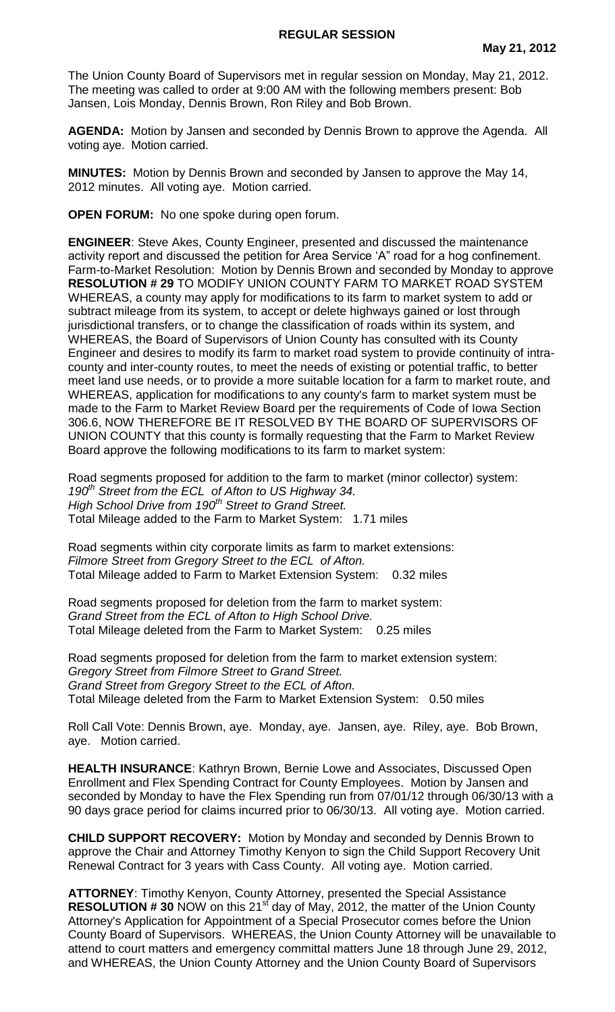The Union County Board of Supervisors met in regular session on Monday, May 21, 2012. The meeting was called to order at 9:00 AM with the following members present: Bob Jansen, Lois Monday, Dennis Brown, Ron Riley and Bob Brown.

**AGENDA:** Motion by Jansen and seconded by Dennis Brown to approve the Agenda. All voting aye. Motion carried.

**MINUTES:** Motion by Dennis Brown and seconded by Jansen to approve the May 14, 2012 minutes. All voting aye. Motion carried.

**OPEN FORUM:** No one spoke during open forum.

**ENGINEER**: Steve Akes, County Engineer, presented and discussed the maintenance activity report and discussed the petition for Area Service 'A" road for a hog confinement. Farm-to-Market Resolution: Motion by Dennis Brown and seconded by Monday to approve **RESOLUTION # 29** TO MODIFY UNION COUNTY FARM TO MARKET ROAD SYSTEM WHEREAS, a county may apply for modifications to its farm to market system to add or subtract mileage from its system, to accept or delete highways gained or lost through jurisdictional transfers, or to change the classification of roads within its system, and WHEREAS, the Board of Supervisors of Union County has consulted with its County Engineer and desires to modify its farm to market road system to provide continuity of intracounty and inter-county routes, to meet the needs of existing or potential traffic, to better meet land use needs, or to provide a more suitable location for a farm to market route, and WHEREAS, application for modifications to any county's farm to market system must be made to the Farm to Market Review Board per the requirements of Code of Iowa Section 306.6, NOW THEREFORE BE IT RESOLVED BY THE BOARD OF SUPERVISORS OF UNION COUNTY that this county is formally requesting that the Farm to Market Review Board approve the following modifications to its farm to market system:

Road segments proposed for addition to the farm to market (minor collector) system: *190th Street from the ECL of Afton to US Highway 34. High School Drive from 190th Street to Grand Street.* Total Mileage added to the Farm to Market System: 1.71 miles

Road segments within city corporate limits as farm to market extensions: *Filmore Street from Gregory Street to the ECL of Afton.* Total Mileage added to Farm to Market Extension System: 0.32 miles

Road segments proposed for deletion from the farm to market system: *Grand Street from the ECL of Afton to High School Drive.* Total Mileage deleted from the Farm to Market System: 0.25 miles

Road segments proposed for deletion from the farm to market extension system: *Gregory Street from Filmore Street to Grand Street. Grand Street from Gregory Street to the ECL of Afton.* Total Mileage deleted from the Farm to Market Extension System: 0.50 miles

Roll Call Vote: Dennis Brown, aye. Monday, aye. Jansen, aye. Riley, aye. Bob Brown, aye. Motion carried.

**HEALTH INSURANCE**: Kathryn Brown, Bernie Lowe and Associates, Discussed Open Enrollment and Flex Spending Contract for County Employees. Motion by Jansen and seconded by Monday to have the Flex Spending run from 07/01/12 through 06/30/13 with a 90 days grace period for claims incurred prior to 06/30/13. All voting aye. Motion carried.

**CHILD SUPPORT RECOVERY:** Motion by Monday and seconded by Dennis Brown to approve the Chair and Attorney Timothy Kenyon to sign the Child Support Recovery Unit Renewal Contract for 3 years with Cass County. All voting aye. Motion carried.

**ATTORNEY**: Timothy Kenyon, County Attorney, presented the Special Assistance **RESOLUTION # 30** NOW on this 21<sup>st</sup> day of May, 2012, the matter of the Union County Attorney's Application for Appointment of a Special Prosecutor comes before the Union County Board of Supervisors. WHEREAS, the Union County Attorney will be unavailable to attend to court matters and emergency committal matters June 18 through June 29, 2012, and WHEREAS, the Union County Attorney and the Union County Board of Supervisors